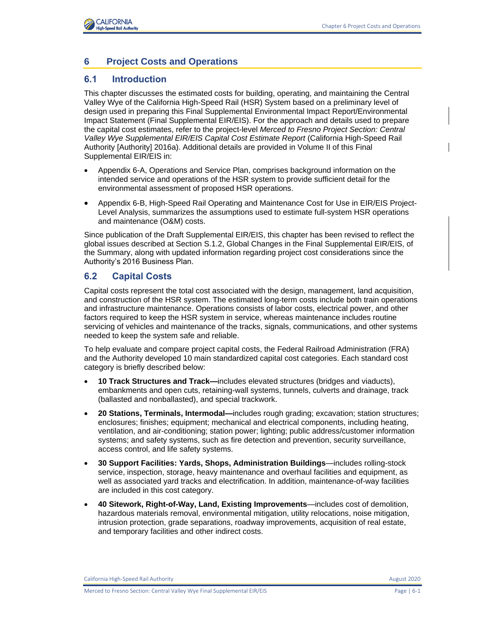

# **6 Project Costs and Operations**

### **6.1 Introduction**

This chapter discusses the estimated costs for building, operating, and maintaining the Central Valley Wye of the California High-Speed Rail (HSR) System based on a preliminary level of design used in preparing this Final Supplemental Environmental Impact Report/Environmental Impact Statement (Final Supplemental EIR/EIS). For the approach and details used to prepare the capital cost estimates, refer to the project-level *Merced to Fresno Project Section: Central Valley Wye Supplemental EIR/EIS Capital Cost Estimate Report* (California High-Speed Rail Authority [Authority] 2016a). Additional details are provided in Volume II of this Final Supplemental EIR/EIS in:

- Appendix 6-A, Operations and Service Plan, comprises background information on the intended service and operations of the HSR system to provide sufficient detail for the environmental assessment of proposed HSR operations.
- Appendix 6-B, High-Speed Rail Operating and Maintenance Cost for Use in EIR/EIS Project-Level Analysis, summarizes the assumptions used to estimate full-system HSR operations and maintenance (O&M) costs.

Since publication of the Draft Supplemental EIR/EIS, this chapter has been revised to reflect the global issues described at Section S.1.2, Global Changes in the Final Supplemental EIR/EIS, of the Summary, along with updated information regarding project cost considerations since the Authority's 2016 Business Plan.

# **6.2 Capital Costs**

Capital costs represent the total cost associated with the design, management, land acquisition, and construction of the HSR system. The estimated long-term costs include both train operations and infrastructure maintenance. Operations consists of labor costs, electrical power, and other factors required to keep the HSR system in service, whereas maintenance includes routine servicing of vehicles and maintenance of the tracks, signals, communications, and other systems needed to keep the system safe and reliable.

To help evaluate and compare project capital costs, the Federal Railroad Administration (FRA) and the Authority developed 10 main standardized capital cost categories. Each standard cost category is briefly described below:

- **10 Track Structures and Track—**includes elevated structures (bridges and viaducts), embankments and open cuts, retaining-wall systems, tunnels, culverts and drainage, track (ballasted and nonballasted), and special trackwork.
- **20 Stations, Terminals, Intermodal—**includes rough grading; excavation; station structures; enclosures; finishes; equipment; mechanical and electrical components, including heating, ventilation, and air-conditioning; station power; lighting; public address/customer information systems; and safety systems, such as fire detection and prevention, security surveillance, access control, and life safety systems.
- **30 Support Facilities: Yards, Shops, Administration Buildings**—includes rolling-stock service, inspection, storage, heavy maintenance and overhaul facilities and equipment, as well as associated yard tracks and electrification. In addition, maintenance-of-way facilities are included in this cost category.
- **40 Sitework, Right-of-Way, Land, Existing Improvements**—includes cost of demolition, hazardous materials removal, environmental mitigation, utility relocations, noise mitigation, intrusion protection, grade separations, roadway improvements, acquisition of real estate, and temporary facilities and other indirect costs.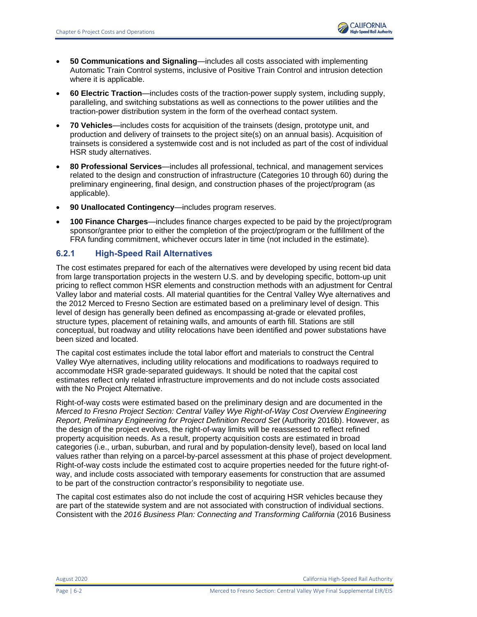- **50 Communications and Signaling**—includes all costs associated with implementing Automatic Train Control systems, inclusive of Positive Train Control and intrusion detection where it is applicable.
- **60 Electric Traction**—includes costs of the traction-power supply system, including supply, paralleling, and switching substations as well as connections to the power utilities and the traction-power distribution system in the form of the overhead contact system.
- **70 Vehicles**—includes costs for acquisition of the trainsets (design, prototype unit, and production and delivery of trainsets to the project site(s) on an annual basis). Acquisition of trainsets is considered a systemwide cost and is not included as part of the cost of individual HSR study alternatives.
- **80 Professional Services**—includes all professional, technical, and management services related to the design and construction of infrastructure (Categories 10 through 60) during the preliminary engineering, final design, and construction phases of the project/program (as applicable).
- **90 Unallocated Contingency**—includes program reserves.
- **100 Finance Charges**—includes finance charges expected to be paid by the project/program sponsor/grantee prior to either the completion of the project/program or the fulfillment of the FRA funding commitment, whichever occurs later in time (not included in the estimate).

# **6.2.1 High-Speed Rail Alternatives**

The cost estimates prepared for each of the alternatives were developed by using recent bid data from large transportation projects in the western U.S. and by developing specific, bottom-up unit pricing to reflect common HSR elements and construction methods with an adjustment for Central Valley labor and material costs. All material quantities for the Central Valley Wye alternatives and the 2012 Merced to Fresno Section are estimated based on a preliminary level of design. This level of design has generally been defined as encompassing at-grade or elevated profiles, structure types, placement of retaining walls, and amounts of earth fill. Stations are still conceptual, but roadway and utility relocations have been identified and power substations have been sized and located.

The capital cost estimates include the total labor effort and materials to construct the Central Valley Wye alternatives, including utility relocations and modifications to roadways required to accommodate HSR grade-separated guideways. It should be noted that the capital cost estimates reflect only related infrastructure improvements and do not include costs associated with the No Project Alternative.

Right-of-way costs were estimated based on the preliminary design and are documented in the *Merced to Fresno Project Section: Central Valley Wye Right-of-Way Cost Overview Engineering Report, Preliminary Engineering for Project Definition Record Set* (Authority 2016b). However, as the design of the project evolves, the right-of-way limits will be reassessed to reflect refined property acquisition needs. As a result, property acquisition costs are estimated in broad categories (i.e., urban, suburban, and rural and by population-density level), based on local land values rather than relying on a parcel-by-parcel assessment at this phase of project development. Right-of-way costs include the estimated cost to acquire properties needed for the future right-ofway, and include costs associated with temporary easements for construction that are assumed to be part of the construction contractor's responsibility to negotiate use.

The capital cost estimates also do not include the cost of acquiring HSR vehicles because they are part of the statewide system and are not associated with construction of individual sections. Consistent with the *2016 Business Plan: Connecting and Transforming California* (2016 Business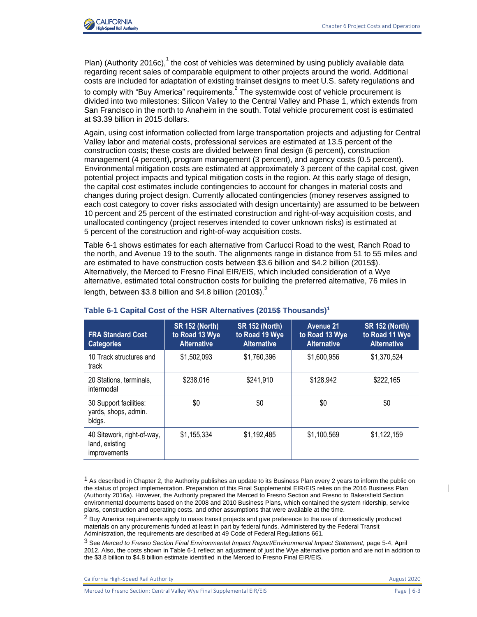

Plan) (Authority 2016c),  $1$  the cost of vehicles was determined by using publicly available data regarding recent sales of comparable equipment to other projects around the world. Additional costs are included for adaptation of existing trainset designs to meet U.S. safety regulations and

to comply with "Buy America" requirements. $^2$  The systemwide cost of vehicle procurement is divided into two milestones: Silicon Valley to the Central Valley and Phase 1, which extends from San Francisco in the north to Anaheim in the south. Total vehicle procurement cost is estimated at \$3.39 billion in 2015 dollars.

Again, using cost information collected from large transportation projects and adjusting for Central Valley labor and material costs, professional services are estimated at 13.5 percent of the construction costs; these costs are divided between final design (6 percent), construction management (4 percent), program management (3 percent), and agency costs (0.5 percent). Environmental mitigation costs are estimated at approximately 3 percent of the capital cost, given potential project impacts and typical mitigation costs in the region. At this early stage of design, the capital cost estimates include contingencies to account for changes in material costs and changes during project design. Currently allocated contingencies (money reserves assigned to each cost category to cover risks associated with design uncertainty) are assumed to be between 10 percent and 25 percent of the estimated construction and right-of-way acquisition costs, and unallocated contingency (project reserves intended to cover unknown risks) is estimated at 5 percent of the construction and right-of-way acquisition costs.

[Table](#page-2-0) 6-1 shows estimates for each alternative from Carlucci Road to the west, Ranch Road to the north, and Avenue 19 to the south. The alignments range in distance from 51 to 55 miles and are estimated to have construction costs between \$3.6 billion and \$4.2 billion (2015\$). Alternatively, the Merced to Fresno Final EIR/EIS, which included consideration of a Wye alternative, estimated total construction costs for building the preferred alternative, 76 miles in length, between \$3.8 billion and \$4.8 billion (2010\$).<sup>3</sup>

| <b>FRA Standard Cost</b><br><b>Categories</b>                       | <b>SR 152 (North)</b><br>to Road 13 Wye<br><b>Alternative</b> | <b>SR 152 (North)</b><br>to Road 19 Wye<br><b>Alternative</b> | <b>Avenue 21</b><br>to Road 13 Wye<br><b>Alternative</b> | <b>SR 152 (North)</b><br>to Road 11 Wye<br><b>Alternative</b> |
|---------------------------------------------------------------------|---------------------------------------------------------------|---------------------------------------------------------------|----------------------------------------------------------|---------------------------------------------------------------|
| 10 Track structures and<br>track                                    | \$1,502,093                                                   | \$1,760,396                                                   | \$1,600,956                                              | \$1,370,524                                                   |
| 20 Stations, terminals,<br>intermodal                               | \$238,016                                                     | \$241,910                                                     | \$128,942                                                | \$222,165                                                     |
| 30 Support facilities:<br>yards, shops, admin.<br>bldgs.            | \$0                                                           | \$0                                                           | \$0                                                      | \$0                                                           |
| 40 Sitework, right-of-way,<br>land, existing<br><i>improvements</i> | \$1,155,334                                                   |                                                               | \$1,100,569                                              | \$1,122,159                                                   |

### <span id="page-2-0"></span>**Table 6-1 Capital Cost of the HSR Alternatives (2015\$ Thousands)<sup>1</sup>**

 $<sup>1</sup>$  As described in Chapter 2, the Authority publishes an update to its Business Plan every 2 years to inform the public on</sup> the status of project implementation. Preparation of this Final Supplemental EIR/EIS relies on the 2016 Business Plan (Authority 2016a). However, the Authority prepared the Merced to Fresno Section and Fresno to Bakersfield Section environmental documents based on the 2008 and 2010 Business Plans, which contained the system ridership, service plans, construction and operating costs, and other assumptions that were available at the time.

<sup>&</sup>lt;sup>2</sup> Buv America requirements apply to mass transit projects and give preference to the use of domestically produced materials on any procurements funded at least in part by federal funds. Administered by the Federal Transit Administration, the requirements are described at 49 Code of Federal Regulations 661.

<sup>3</sup> See *Merced to Fresno Section Final Environmental Impact Report/Environmental Impact Statement,* page 5-4, April 2012. Also, the costs shown in Table 6-1 reflect an adjustment of just the Wye alternative portion and are not in addition to the \$3.8 billion to \$4.8 billion estimate identified in the Merced to Fresno Final EIR/EIS.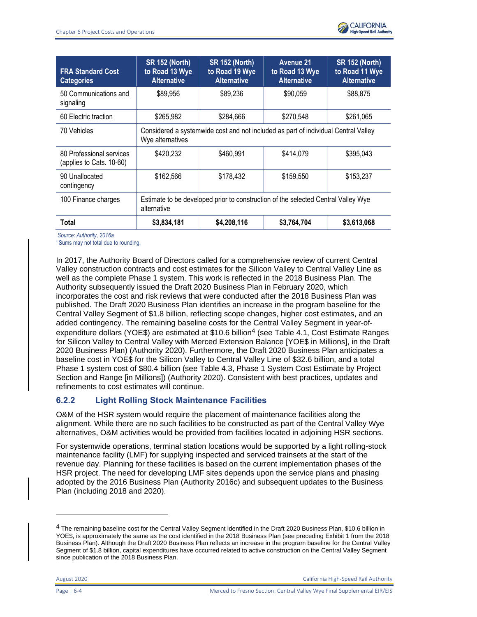

| <b>FRA Standard Cost</b><br><b>Categories</b>        | <b>SR 152 (North)</b><br>to Road 13 Wye<br><b>Alternative</b>                                          | <b>SR 152 (North)</b><br>to Road 19 Wye<br><b>Alternative</b> | <b>Avenue 21</b><br>to Road 13 Wye<br><b>Alternative</b> | <b>SR 152 (North)</b><br>to Road 11 Wye<br><b>Alternative</b> |  |  |
|------------------------------------------------------|--------------------------------------------------------------------------------------------------------|---------------------------------------------------------------|----------------------------------------------------------|---------------------------------------------------------------|--|--|
| 50 Communications and<br>signaling                   | \$89,956                                                                                               | \$89,236                                                      | \$90,059                                                 | \$88,875                                                      |  |  |
| 60 Electric traction                                 | \$265,982                                                                                              | \$284,666                                                     | \$270,548                                                | \$261,065                                                     |  |  |
| 70 Vehicles                                          | Considered a systemwide cost and not included as part of individual Central Valley<br>Wye alternatives |                                                               |                                                          |                                                               |  |  |
| 80 Professional services<br>(applies to Cats. 10-60) | \$420,232                                                                                              | \$460,991                                                     | \$414,079                                                | \$395,043                                                     |  |  |
| 90 Unallocated<br>contingency                        | \$162,566                                                                                              | \$178,432                                                     | \$159,550                                                | \$153,237                                                     |  |  |
| 100 Finance charges                                  | Estimate to be developed prior to construction of the selected Central Valley Wye<br>alternative       |                                                               |                                                          |                                                               |  |  |
| Total                                                | \$3,834,181                                                                                            | \$4,208,116                                                   | \$3,764,704                                              | \$3,613,068                                                   |  |  |

*Source: Authority, 2016a*

<sup>1</sup> Sums may not total due to rounding.

In 2017, the Authority Board of Directors called for a comprehensive review of current Central Valley construction contracts and cost estimates for the Silicon Valley to Central Valley Line as well as the complete Phase 1 system. This work is reflected in the 2018 Business Plan. The Authority subsequently issued the Draft 2020 Business Plan in February 2020, which incorporates the cost and risk reviews that were conducted after the 2018 Business Plan was published. The Draft 2020 Business Plan identifies an increase in the program baseline for the Central Valley Segment of \$1.8 billion, reflecting scope changes, higher cost estimates, and an added contingency. The remaining baseline costs for the Central Valley Segment in year-ofexpenditure dollars (YOE\$) are estimated at \$10.6 billion<sup>4</sup> (see Table 4.1, Cost Estimate Ranges for Silicon Valley to Central Valley with Merced Extension Balance [YOE\$ in Millions], in the Draft 2020 Business Plan) (Authority 2020). Furthermore, the Draft 2020 Business Plan anticipates a baseline cost in YOE\$ for the Silicon Valley to Central Valley Line of \$32.6 billion, and a total Phase 1 system cost of \$80.4 billion (see Table 4.3, Phase 1 System Cost Estimate by Project Section and Range [in Millions]) (Authority 2020). Consistent with best practices, updates and refinements to cost estimates will continue.

# **6.2.2 Light Rolling Stock Maintenance Facilities**

O&M of the HSR system would require the placement of maintenance facilities along the alignment. While there are no such facilities to be constructed as part of the Central Valley Wye alternatives, O&M activities would be provided from facilities located in adjoining HSR sections.

For systemwide operations, terminal station locations would be supported by a light rolling-stock maintenance facility (LMF) for supplying inspected and serviced trainsets at the start of the revenue day. Planning for these facilities is based on the current implementation phases of the HSR project. The need for developing LMF sites depends upon the service plans and phasing adopted by the 2016 Business Plan (Authority 2016c) and subsequent updates to the Business Plan (including 2018 and 2020).

August 2020 California High-Speed Rail Authority

<sup>4</sup> The remaining baseline cost for the Central Valley Segment identified in the Draft 2020 Business Plan, \$10.6 billion in YOE\$, is approximately the same as the cost identified in the 2018 Business Plan (see preceding Exhibit 1 from the 2018 Business Plan). Although the Draft 2020 Business Plan reflects an increase in the program baseline for the Central Valley Segment of \$1.8 billion, capital expenditures have occurred related to active construction on the Central Valley Segment since publication of the 2018 Business Plan.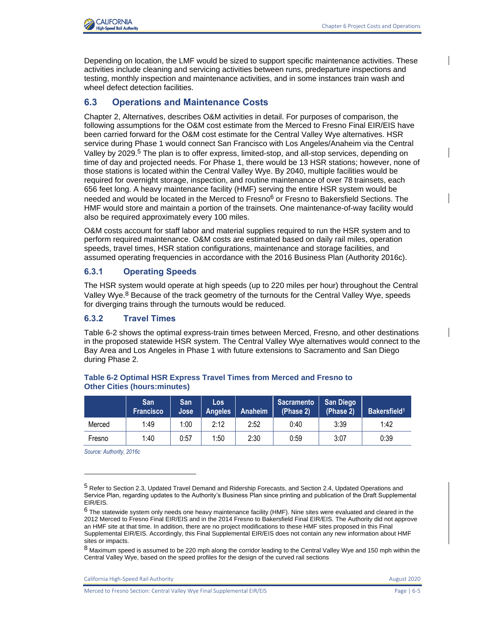

Depending on location, the LMF would be sized to support specific maintenance activities. These activities include cleaning and servicing activities between runs, predeparture inspections and testing, monthly inspection and maintenance activities, and in some instances train wash and wheel defect detection facilities.

### **6.3 Operations and Maintenance Costs**

Chapter 2, Alternatives, describes O&M activities in detail. For purposes of comparison, the following assumptions for the O&M cost estimate from the Merced to Fresno Final EIR/EIS have been carried forward for the O&M cost estimate for the Central Valley Wye alternatives. HSR service during Phase 1 would connect San Francisco with Los Angeles/Anaheim via the Central Valley by 2029.<sup>5</sup> The plan is to offer express, limited-stop, and all-stop services, depending on time of day and projected needs. For Phase 1, there would be 13 HSR stations; however, none of those stations is located within the Central Valley Wye. By 2040, multiple facilities would be required for overnight storage, inspection, and routine maintenance of over 78 trainsets, each 656 feet long. A heavy maintenance facility (HMF) serving the entire HSR system would be needed and would be located in the Merced to Fresno<sup>6</sup> or Fresno to Bakersfield Sections. The HMF would store and maintain a portion of the trainsets. One maintenance-of-way facility would also be required approximately every 100 miles.

O&M costs account for staff labor and material supplies required to run the HSR system and to perform required maintenance. O&M costs are estimated based on daily rail miles, operation speeds, travel times, HSR station configurations, maintenance and storage facilities, and assumed operating frequencies in accordance with the 2016 Business Plan (Authority 2016c).

### **6.3.1 Operating Speeds**

The HSR system would operate at high speeds (up to 220 miles per hour) throughout the Central Valley Wye.<sup>8</sup> Because of the track geometry of the turnouts for the Central Valley Wye, speeds for diverging trains through the turnouts would be reduced.

# **6.3.2 Travel Times**

[Table](#page-4-0) 6-2 shows the optimal express-train times between Merced, Fresno, and other destinations in the proposed statewide HSR system. The Central Valley Wye alternatives would connect to the Bay Area and Los Angeles in Phase 1 with future extensions to Sacramento and San Diego during Phase 2.

|        | San<br><b>Francisco</b> | San<br>Jose | Los<br><b>Angeles</b> | Anaheim | <b>Sacramento</b><br>(Phase 2) | <b>San Diego</b><br>(Phase 2) | Bakersfield <sup>1</sup> |
|--------|-------------------------|-------------|-----------------------|---------|--------------------------------|-------------------------------|--------------------------|
| Merced | 1:49                    | 1:00        | 2:12                  | 2:52    | 0:40                           | 3:39                          | 1:42                     |
| Fresno | 1:40                    | 0:57        | 1:50                  | 2:30    | 0:59                           | 3:07                          | 0:39                     |

#### <span id="page-4-0"></span>**Table 6-2 Optimal HSR Express Travel Times from Merced and Fresno to Other Cities (hours:minutes)**

*Source: Authority, 2016c*

<sup>5</sup> Refer to Section 2.3, Updated Travel Demand and Ridership Forecasts, and Section 2.4, Updated Operations and Service Plan, regarding updates to the Authority's Business Plan since printing and publication of the Draft Supplemental EIR/EIS.

<sup>6</sup> The statewide system only needs one heavy maintenance facility (HMF). Nine sites were evaluated and cleared in the 2012 Merced to Fresno Final EIR/EIS and in the 2014 Fresno to Bakersfield Final EIR/EIS. The Authority did not approve an HMF site at that time. In addition, there are no project modifications to these HMF sites proposed in this Final Supplemental EIR/EIS. Accordingly, this Final Supplemental EIR/EIS does not contain any new information about HMF sites or impacts.

<sup>8</sup> Maximum speed is assumed to be 220 mph along the corridor leading to the Central Valley Wye and 150 mph within the Central Valley Wye, based on the speed profiles for the design of the curved rail sections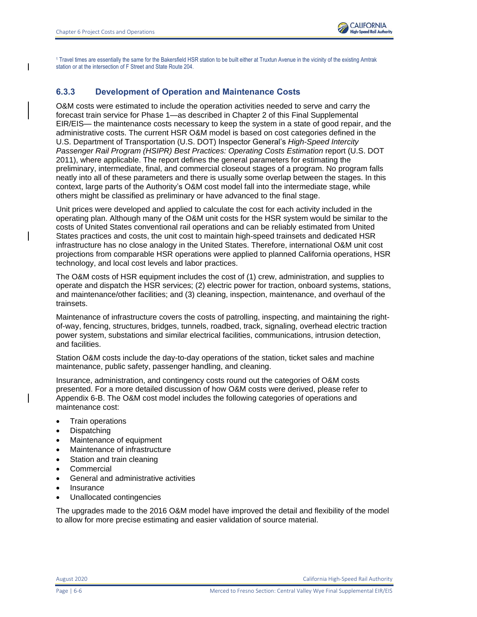

<sup>1</sup> Travel times are essentially the same for the Bakersfield HSR station to be built either at Truxtun Avenue in the vicinity of the existing Amtrak station or at the intersection of F Street and State Route 204.

# **6.3.3 Development of Operation and Maintenance Costs**

O&M costs were estimated to include the operation activities needed to serve and carry the forecast train service for Phase 1—as described in Chapter 2 of this Final Supplemental EIR/EIS— the maintenance costs necessary to keep the system in a state of good repair, and the administrative costs. The current HSR O&M model is based on cost categories defined in the U.S. Department of Transportation (U.S. DOT) Inspector General's *High-Speed Intercity Passenger Rail Program (HSIPR) Best Practices: Operating Costs Estimation* report (U.S. DOT 2011), where applicable. The report defines the general parameters for estimating the preliminary, intermediate, final, and commercial closeout stages of a program. No program falls neatly into all of these parameters and there is usually some overlap between the stages. In this context, large parts of the Authority's O&M cost model fall into the intermediate stage, while others might be classified as preliminary or have advanced to the final stage.

Unit prices were developed and applied to calculate the cost for each activity included in the operating plan. Although many of the O&M unit costs for the HSR system would be similar to the costs of United States conventional rail operations and can be reliably estimated from United States practices and costs, the unit cost to maintain high-speed trainsets and dedicated HSR infrastructure has no close analogy in the United States. Therefore, international O&M unit cost projections from comparable HSR operations were applied to planned California operations, HSR technology, and local cost levels and labor practices.

The O&M costs of HSR equipment includes the cost of (1) crew, administration, and supplies to operate and dispatch the HSR services; (2) electric power for traction, onboard systems, stations, and maintenance/other facilities; and (3) cleaning, inspection, maintenance, and overhaul of the trainsets.

Maintenance of infrastructure covers the costs of patrolling, inspecting, and maintaining the rightof-way, fencing, structures, bridges, tunnels, roadbed, track, signaling, overhead electric traction power system, substations and similar electrical facilities, communications, intrusion detection, and facilities.

Station O&M costs include the day-to-day operations of the station, ticket sales and machine maintenance, public safety, passenger handling, and cleaning.

Insurance, administration, and contingency costs round out the categories of O&M costs presented. For a more detailed discussion of how O&M costs were derived, please refer to Appendix 6-B. The O&M cost model includes the following categories of operations and maintenance cost:

- Train operations
- Dispatching
- Maintenance of equipment
- Maintenance of infrastructure
- Station and train cleaning
- Commercial
- General and administrative activities
- **Insurance**
- Unallocated contingencies

The upgrades made to the 2016 O&M model have improved the detail and flexibility of the model to allow for more precise estimating and easier validation of source material.